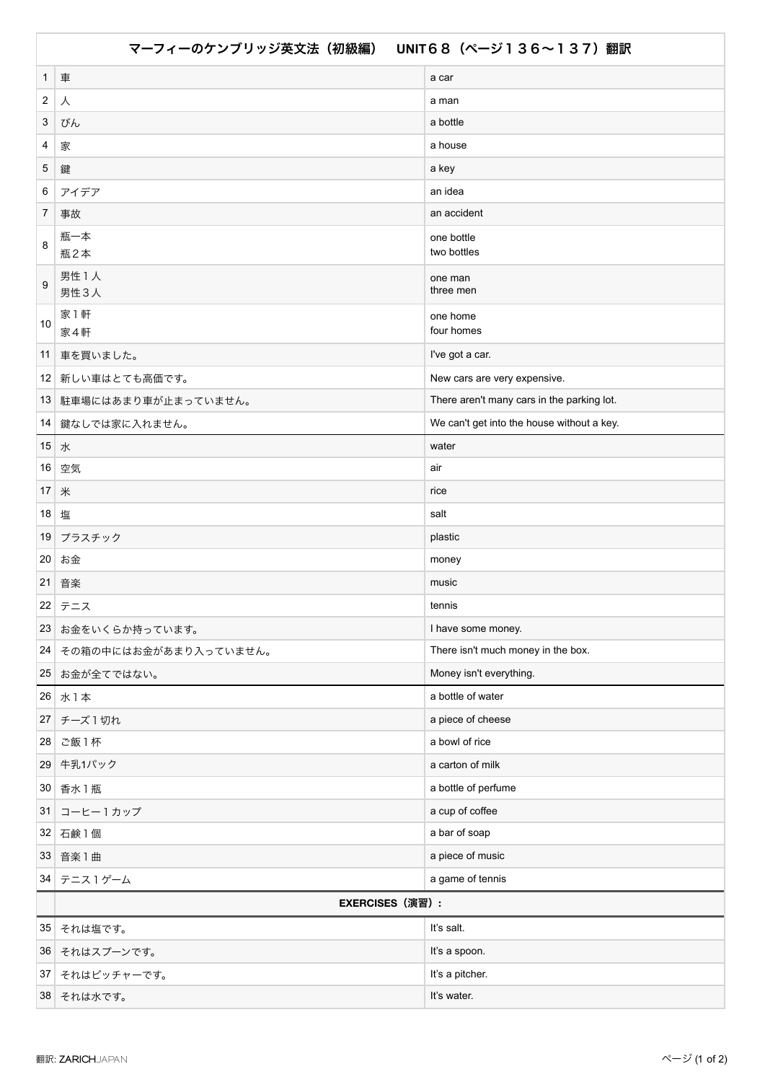| マーフィーのケンブリッジ英文法(初級編) UNIT68 (ページ136~137)翻訳 |                        |                                            |  |
|--------------------------------------------|------------------------|--------------------------------------------|--|
| $\mathbf{1}$                               | 車                      | a car                                      |  |
| $\boldsymbol{2}$                           | 人                      | a man                                      |  |
| 3                                          | びん                     | a bottle                                   |  |
| 4                                          | 家                      | a house                                    |  |
| 5                                          | 鍵                      | a key                                      |  |
| 6                                          | アイデア                   | an idea                                    |  |
| 7                                          | 事故                     | an accident                                |  |
| 8                                          | 瓶一本<br>瓶2本             | one bottle<br>two bottles                  |  |
| 9                                          | 男性 1人<br>男性3人          | one man<br>three men                       |  |
| 10                                         | 家1軒<br>家4軒             | one home<br>four homes                     |  |
| 11                                         | 車を買いました。               | I've got a car.                            |  |
|                                            | 12 新しい車はとても高価です。       | New cars are very expensive.               |  |
|                                            | 13 駐車場にはあまり車が止まっていません。 | There aren't many cars in the parking lot. |  |
|                                            | 14 鍵なしでは家に入れません。       | We can't get into the house without a key. |  |
| 15 <sup>1</sup>                            | 水                      | water                                      |  |
| 16 <sup>1</sup>                            | 空気                     | air                                        |  |
| 17 <sup>1</sup>                            | 米                      | rice                                       |  |
| 18                                         | 塩                      | salt                                       |  |
| 19                                         | プラスチック                 | plastic                                    |  |
| 20                                         | お金                     | money                                      |  |
| 21                                         | 音楽                     | music                                      |  |
|                                            | 22 テニス                 | tennis                                     |  |
|                                            | 23 お金をいくらか持っています。      | I have some money.                         |  |
| 24                                         | その箱の中にはお金があまり入っていません。  | There isn't much money in the box.         |  |
| 25                                         | お金が全てではない。             | Money isn't everything.                    |  |
| 26                                         | 水1本                    | a bottle of water                          |  |
| 27                                         | チーズ1切れ                 | a piece of cheese                          |  |
| 28                                         | ご飯1杯                   | a bowl of rice                             |  |
| 29                                         | 牛乳1パック                 | a carton of milk                           |  |
| 30                                         | 香水 1 瓶                 | a bottle of perfume                        |  |
| 31                                         | コーヒー1カップ               | a cup of coffee                            |  |
| 32                                         | 石鹸1個                   | a bar of soap                              |  |
| 33                                         | 音楽1曲                   | a piece of music                           |  |
| 34                                         | テニス1ゲーム                | a game of tennis                           |  |
|                                            | <b>EXERCISES (演習):</b> |                                            |  |
| 35                                         | それは塩です。                | It's salt.                                 |  |
| 36                                         | それはスプーンです。             | It's a spoon.                              |  |
| 37                                         | それはピッチャーです。            | It's a pitcher.                            |  |
| 38                                         | それは水です。                | It's water.                                |  |